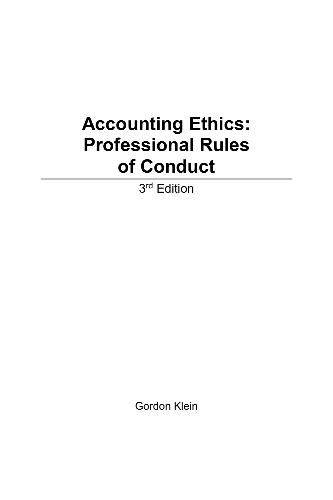## **Accounting Ethics: Professional Rules of Conduct**

3<sup>rd</sup> Edition

Gordon Klein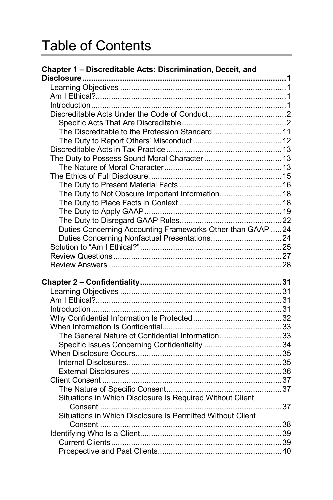## Table of Contents

| Chapter 1 - Discreditable Acts: Discrimination, Deceit, and |  |
|-------------------------------------------------------------|--|
|                                                             |  |
|                                                             |  |
|                                                             |  |
|                                                             |  |
|                                                             |  |
|                                                             |  |
| The Discreditable to the Profession Standard 11             |  |
|                                                             |  |
|                                                             |  |
|                                                             |  |
|                                                             |  |
|                                                             |  |
|                                                             |  |
| The Duty to Not Obscure Important Information18             |  |
|                                                             |  |
|                                                             |  |
|                                                             |  |
| Duties Concerning Accounting Frameworks Other than GAAP 24  |  |
|                                                             |  |
|                                                             |  |
|                                                             |  |
|                                                             |  |
|                                                             |  |
|                                                             |  |
|                                                             |  |
|                                                             |  |
|                                                             |  |
|                                                             |  |
|                                                             |  |
| The General Nature of Confidential Information33            |  |
|                                                             |  |
|                                                             |  |
|                                                             |  |
|                                                             |  |
|                                                             |  |
|                                                             |  |
| Situations in Which Disclosure Is Required Without Client   |  |
|                                                             |  |
| Situations in Which Disclosure Is Permitted Without Client  |  |
|                                                             |  |
|                                                             |  |
|                                                             |  |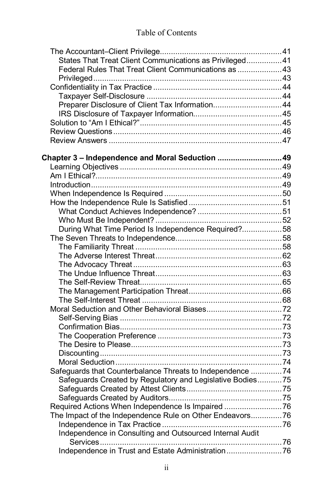## Table of Contents

| States That Treat Client Communications as Privileged41   |  |
|-----------------------------------------------------------|--|
| Federal Rules That Treat Client Communications as 43      |  |
|                                                           |  |
|                                                           |  |
|                                                           |  |
| Preparer Disclosure of Client Tax Information44           |  |
|                                                           |  |
|                                                           |  |
|                                                           |  |
|                                                           |  |
| Chapter 3 - Independence and Moral Seduction  49          |  |
|                                                           |  |
|                                                           |  |
|                                                           |  |
|                                                           |  |
|                                                           |  |
|                                                           |  |
|                                                           |  |
| During What Time Period Is Independence Required?58       |  |
|                                                           |  |
|                                                           |  |
|                                                           |  |
|                                                           |  |
|                                                           |  |
|                                                           |  |
|                                                           |  |
|                                                           |  |
|                                                           |  |
|                                                           |  |
|                                                           |  |
|                                                           |  |
|                                                           |  |
|                                                           |  |
|                                                           |  |
| Safeguards that Counterbalance Threats to Independence 74 |  |
| Safeguards Created by Regulatory and Legislative Bodies75 |  |
|                                                           |  |
|                                                           |  |
| Required Actions When Independence Is Impaired 76         |  |
|                                                           |  |
| The Impact of the Independence Rule on Other Endeavors 76 |  |
| Independence in Consulting and Outsourced Internal Audit  |  |
|                                                           |  |
| Independence in Trust and Estate Administration76         |  |
|                                                           |  |